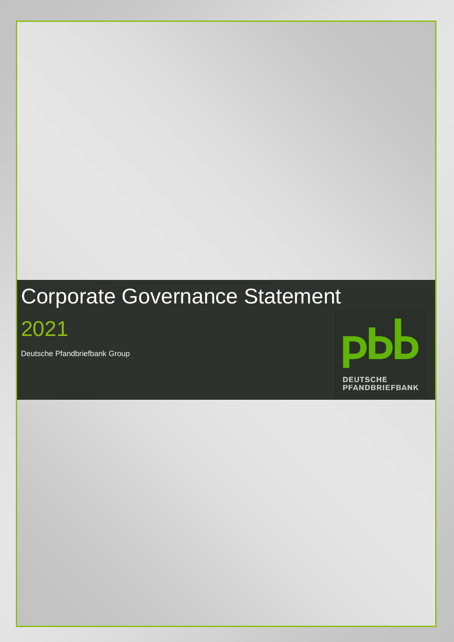# Corporate Governance Statement

2021

Deutsche Pfandbriefbank Group

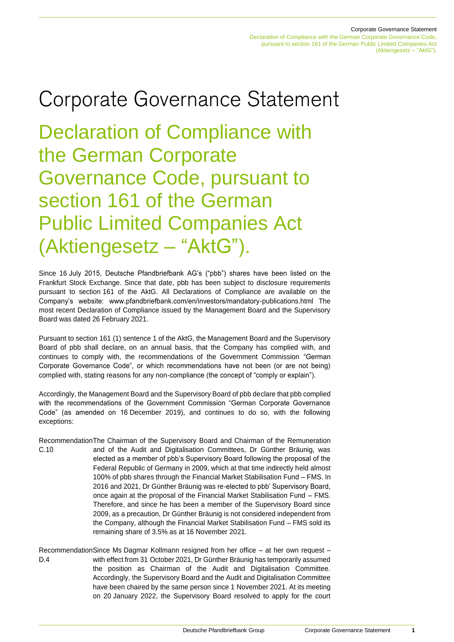Corporate Governance Statement

Declaration of Compliance with the German Corporate Governance Code, pursuant to section 161 of the German Public Limited Companies Act (Aktiengesetz – "AktG").

# Corporate Governance Statement

Declaration of Compliance with the German Corporate Governance Code, pursuant to section 161 of the German Public Limited Companies Act (Aktiengesetz – "AktG").

Since 16 July 2015, Deutsche Pfandbriefbank AG's ("pbb") shares have been listed on the Frankfurt Stock Exchange. Since that date, pbb has been subject to disclosure requirements pursuant to section 161 of the AktG. All Declarations of Compliance are available on the Company's website: www.pfandbriefbank.com/en/investors/mandatory-publications.html The most recent Declaration of Compliance issued by the Management Board and the Supervisory Board was dated 26 February 2021.

Pursuant to section 161 (1) sentence 1 of the AktG, the Management Board and the Supervisory Board of pbb shall declare, on an annual basis, that the Company has complied with, and continues to comply with, the recommendations of the Government Commission "German Corporate Governance Code", or which recommendations have not been (or are not being) complied with, stating reasons for any non-compliance (the concept of "comply or explain").

Accordingly, the Management Board and the Supervisory Board of pbb declare that pbb complied with the recommendations of the Government Commission "German Corporate Governance Code" (as amended on 16 December 2019), and continues to do so, with the following exceptions:

- Recommendation The Chairman of the Supervisory Board and Chairman of the Remuneration C.10 and of the Audit and Digitalisation Committees, Dr Günther Bräunig, was elected as a member of pbb's Supervisory Board following the proposal of the Federal Republic of Germany in 2009, which at that time indirectly held almost 100% of pbb shares through the Financial Market Stabilisation Fund – FMS. In 2016 and 2021, Dr Günther Bräunig was re-elected to pbb' Supervisory Board, once again at the proposal of the Financial Market Stabilisation Fund – FMS. Therefore, and since he has been a member of the Supervisory Board since 2009, as a precaution, Dr Günther Bräunig is not considered independent from the Company, although the Financial Market Stabilisation Fund – FMS sold its remaining share of 3.5% as at 16 November 2021.
- Recommendation Since Ms Dagmar Kollmann resigned from her office at her own request D.4 with effect from 31 October 2021, Dr Günther Bräunig has temporarily assumed the position as Chairman of the Audit and Digitalisation Committee. Accordingly, the Supervisory Board and the Audit and Digitalisation Committee have been chaired by the same person since 1 November 2021. At its meeting on 20 January 2022, the Supervisory Board resolved to apply for the court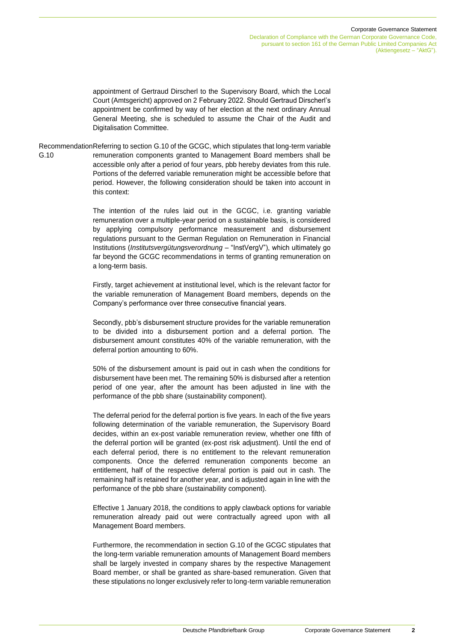Declaration of Compliance with the German Corporate Governance Code, pursuant to section 161 of the German Public Limited Companies Act (Aktiengesetz – "AktG").

appointment of Gertraud Dirscherl to the Supervisory Board, which the Local Court (Amtsgericht) approved on 2 February 2022. Should Gertraud Dirscherl's appointment be confirmed by way of her election at the next ordinary Annual General Meeting, she is scheduled to assume the Chair of the Audit and Digitalisation Committee.

Recommendation Referring to section G.10 of the GCGC, which stipulates that long-term variable G.10 remuneration components granted to Management Board members shall be accessible only after a period of four years, pbb hereby deviates from this rule. Portions of the deferred variable remuneration might be accessible before that period. However, the following consideration should be taken into account in this context:

> The intention of the rules laid out in the GCGC, i.e. granting variable remuneration over a multiple-year period on a sustainable basis, is considered by applying compulsory performance measurement and disbursement regulations pursuant to the German Regulation on Remuneration in Financial Institutions (*Institutsvergütungsverordnung* – "InstVergV"), which ultimately go far beyond the GCGC recommendations in terms of granting remuneration on a long-term basis.

> Firstly, target achievement at institutional level, which is the relevant factor for the variable remuneration of Management Board members, depends on the Company's performance over three consecutive financial years.

> Secondly, pbb's disbursement structure provides for the variable remuneration to be divided into a disbursement portion and a deferral portion. The disbursement amount constitutes 40% of the variable remuneration, with the deferral portion amounting to 60%.

> 50% of the disbursement amount is paid out in cash when the conditions for disbursement have been met. The remaining 50% is disbursed after a retention period of one year, after the amount has been adjusted in line with the performance of the pbb share (sustainability component).

> The deferral period for the deferral portion is five years. In each of the five years following determination of the variable remuneration, the Supervisory Board decides, within an ex-post variable remuneration review, whether one fifth of the deferral portion will be granted (ex-post risk adjustment). Until the end of each deferral period, there is no entitlement to the relevant remuneration components. Once the deferred remuneration components become an entitlement, half of the respective deferral portion is paid out in cash. The remaining half is retained for another year, and is adjusted again in line with the performance of the pbb share (sustainability component).

> Effective 1 January 2018, the conditions to apply clawback options for variable remuneration already paid out were contractually agreed upon with all Management Board members.

> Furthermore, the recommendation in section G.10 of the GCGC stipulates that the long-term variable remuneration amounts of Management Board members shall be largely invested in company shares by the respective Management Board member, or shall be granted as share-based remuneration. Given that these stipulations no longer exclusively refer to long-term variable remuneration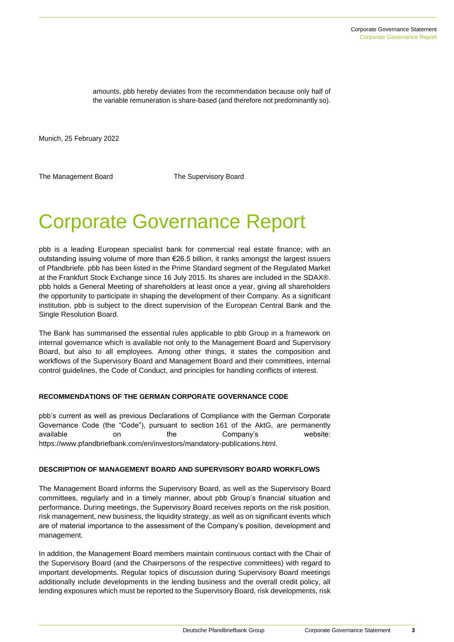amounts, pbb hereby deviates from the recommendation because only half of the variable remuneration is share-based (and therefore not predominantly so).

Munich, 25 February 2022

The Management Board The Supervisory Board

# Corporate Governance Report

pbb is a leading European specialist bank for commercial real estate finance; with an outstanding issuing volume of more than €26.5 billion, it ranks amongst the largest issuers of Pfandbriefe. pbb has been listed in the Prime Standard segment of the Regulated Market at the Frankfurt Stock Exchange since 16 July 2015. Its shares are included in the SDAX®. pbb holds a General Meeting of shareholders at least once a year, giving all shareholders the opportunity to participate in shaping the development of their Company. As a significant institution, pbb is subject to the direct supervision of the European Central Bank and the Single Resolution Board.

The Bank has summarised the essential rules applicable to pbb Group in a framework on internal governance which is available not only to the Management Board and Supervisory Board, but also to all employees. Among other things, it states the composition and workflows of the Supervisory Board and Management Board and their committees, internal control guidelines, the Code of Conduct, and principles for handling conflicts of interest.

#### **RECOMMENDATIONS OF THE GERMAN CORPORATE GOVERNANCE CODE**

pbb's current as well as previous Declarations of Compliance with the German Corporate Governance Code (the "Code"), pursuant to section 161 of the AktG, are permanently available on the Company's website: https://www.pfandbriefbank.com/en/investors/mandatory-publications.html.

# **DESCRIPTION OF MANAGEMENT BOARD AND SUPERVISORY BOARD WORKFLOWS**

The Management Board informs the Supervisory Board, as well as the Supervisory Board committees, regularly and in a timely manner, about pbb Group's financial situation and performance. During meetings, the Supervisory Board receives reports on the risk position, risk management, new business, the liquidity strategy, as well as on significant events which are of material importance to the assessment of the Company's position, development and management.

In addition, the Management Board members maintain continuous contact with the Chair of the Supervisory Board (and the Chairpersons of the respective committees) with regard to important developments. Regular topics of discussion during Supervisory Board meetings additionally include developments in the lending business and the overall credit policy, all lending exposures which must be reported to the Supervisory Board, risk developments, risk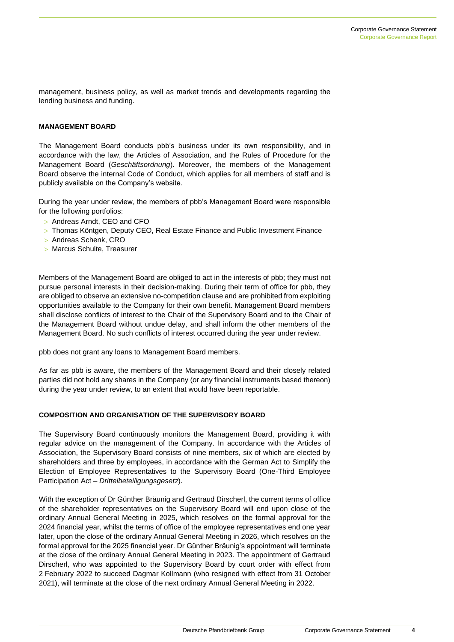management, business policy, as well as market trends and developments regarding the lending business and funding.

# **MANAGEMENT BOARD**

The Management Board conducts pbb's business under its own responsibility, and in accordance with the law, the Articles of Association, and the Rules of Procedure for the Management Board (*Geschäftsordnung*). Moreover, the members of the Management Board observe the internal Code of Conduct, which applies for all members of staff and is publicly available on the Company's website.

During the year under review, the members of pbb's Management Board were responsible for the following portfolios:

- > Andreas Arndt, CEO and CFO
- Thomas Köntgen, Deputy CEO, Real Estate Finance and Public Investment Finance
- > Andreas Schenk, CRO
- > Marcus Schulte, Treasurer

Members of the Management Board are obliged to act in the interests of pbb; they must not pursue personal interests in their decision-making. During their term of office for pbb, they are obliged to observe an extensive no-competition clause and are prohibited from exploiting opportunities available to the Company for their own benefit. Management Board members shall disclose conflicts of interest to the Chair of the Supervisory Board and to the Chair of the Management Board without undue delay, and shall inform the other members of the Management Board. No such conflicts of interest occurred during the year under review.

pbb does not grant any loans to Management Board members.

As far as pbb is aware, the members of the Management Board and their closely related parties did not hold any shares in the Company (or any financial instruments based thereon) during the year under review, to an extent that would have been reportable.

# **COMPOSITION AND ORGANISATION OF THE SUPERVISORY BOARD**

The Supervisory Board continuously monitors the Management Board, providing it with regular advice on the management of the Company. In accordance with the Articles of Association, the Supervisory Board consists of nine members, six of which are elected by shareholders and three by employees, in accordance with the German Act to Simplify the Election of Employee Representatives to the Supervisory Board (One-Third Employee Participation Act – *Drittelbeteiligungsgesetz*).

With the exception of Dr Günther Bräunig and Gertraud Dirscherl, the current terms of office of the shareholder representatives on the Supervisory Board will end upon close of the ordinary Annual General Meeting in 2025, which resolves on the formal approval for the 2024 financial year, whilst the terms of office of the employee representatives end one year later, upon the close of the ordinary Annual General Meeting in 2026, which resolves on the formal approval for the 2025 financial year. Dr Günther Bräunig's appointment will terminate at the close of the ordinary Annual General Meeting in 2023. The appointment of Gertraud Dirscherl, who was appointed to the Supervisory Board by court order with effect from 2 February 2022 to succeed Dagmar Kollmann (who resigned with effect from 31 October 2021), will terminate at the close of the next ordinary Annual General Meeting in 2022.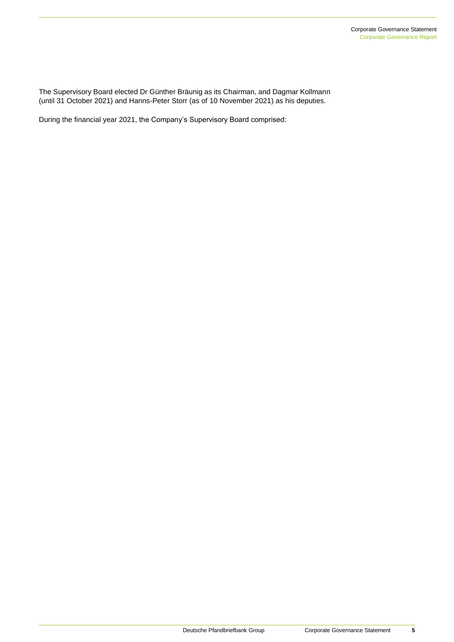The Supervisory Board elected Dr Günther Bräunig as its Chairman, and Dagmar Kollmann (until 31 October 2021) and Hanns-Peter Storr (as of 10 November 2021) as his deputies.

During the financial year 2021, the Company's Supervisory Board comprised: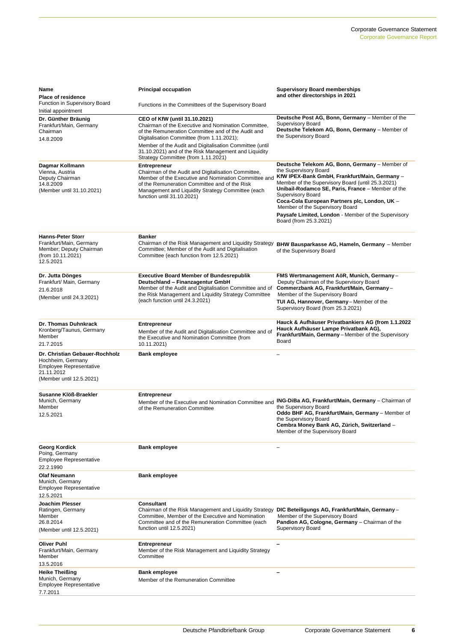| Name<br>Place of residence                                                                                                      | <b>Principal occupation</b>                                                                                                                                                                                                                                            | <b>Supervisory Board memberships</b><br>and other directorships in 2021                                                                                                                                                                                                                                                                                                                                                             |
|---------------------------------------------------------------------------------------------------------------------------------|------------------------------------------------------------------------------------------------------------------------------------------------------------------------------------------------------------------------------------------------------------------------|-------------------------------------------------------------------------------------------------------------------------------------------------------------------------------------------------------------------------------------------------------------------------------------------------------------------------------------------------------------------------------------------------------------------------------------|
| Function in Supervisory Board                                                                                                   | Functions in the Committees of the Supervisory Board                                                                                                                                                                                                                   |                                                                                                                                                                                                                                                                                                                                                                                                                                     |
| Initial appointment<br>Dr. Günther Bräunig<br>Frankfurt/Main, Germany<br>Chairman<br>14.8.2009                                  | CEO of KfW (until 31.10.2021)<br>Chairman of the Executive and Nomination Committee,<br>of the Remuneration Committee and of the Audit and<br>Digitalisation Committee (from 1.11.2021);                                                                               | Deutsche Post AG, Bonn, Germany - Member of the<br><b>Supervisory Board</b><br>Deutsche Telekom AG, Bonn, Germany - Member of<br>the Supervisory Board                                                                                                                                                                                                                                                                              |
|                                                                                                                                 | Member of the Audit and Digitalisation Committee (until<br>31.10.2021) and of the Risk Management and Liquidity<br>Strategy Committee (from 1.11.2021)                                                                                                                 |                                                                                                                                                                                                                                                                                                                                                                                                                                     |
| Dagmar Kollmann<br>Vienna, Austria<br>Deputy Chairman<br>14.8.2009<br>(Member until 31.10.2021)                                 | <b>Entrepreneur</b><br>Chairman of the Audit and Digitalisation Committee,<br>Member of the Executive and Nomination Committee and<br>of the Remuneration Committee and of the Risk<br>Management and Liquidity Strategy Committee (each<br>function until 31.10.2021) | Deutsche Telekom AG, Bonn, Germany - Member of<br>the Supervisory Board<br>KfW IPEX-Bank GmbH, Frankfurt/Main, Germany -<br>Member of the Supervisory Board (until 25.3.2021)<br>Unibail-Rodamco SE, Paris, France - Member of the<br><b>Supervisory Board</b><br>Coca-Cola European Partners plc, London, UK -<br>Member of the Supervisory Board<br>Paysafe Limited, London - Member of the Supervisory<br>Board (from 25.3.2021) |
| <b>Hanns-Peter Storr</b><br>Frankfurt/Main, Germany<br>Member; Deputy Chairman<br>(from 10.11.2021)<br>12.5.2021                | Banker<br>Chairman of the Risk Management and Liquidity Strategy<br>Committee; Member of the Audit and Digitalisation<br>Committee (each function from 12.5.2021)                                                                                                      | BHW Bausparkasse AG, Hameln, Germany - Member<br>of the Supervisory Board                                                                                                                                                                                                                                                                                                                                                           |
| Dr. Jutta Dönges<br>Frankfurt/ Main, Germany<br>21.6.2018<br>(Member until 24.3.2021)                                           | <b>Executive Board Member of Bundesrepublik</b><br>Deutschland - Finanzagentur GmbH<br>Member of the Audit and Digitalisation Committee and of<br>the Risk Management and Liquidity Strategy Committee<br>(each function until 24.3.2021)                              | FMS Wertmanagement AöR, Munich, Germany-<br>Deputy Chairman of the Supervisory Board<br>Commerzbank AG, Frankfurt/Main, Germany-<br>Member of the Supervisory Board<br>TUI AG, Hannover, Germany-Member of the<br>Supervisory Board (from 25.3.2021)                                                                                                                                                                                |
| Dr. Thomas Duhnkrack<br>Kronberg/Taunus, Germany<br>Member<br>21.7.2015                                                         | <b>Entrepreneur</b><br>Member of the Audit and Digitalisation Committee and of<br>the Executive and Nomination Committee (from<br>10.11.2021)                                                                                                                          | Hauck & Aufhäuser Privatbankiers AG (from 1.1.2022<br>Hauck Aufhäuser Lampe Privatbank AG),<br>Frankfurt/Main, Germany - Member of the Supervisory<br>Board                                                                                                                                                                                                                                                                         |
| Dr. Christian Gebauer-Rochholz<br>Hochheim, Germany<br><b>Employee Representative</b><br>21.11.2012<br>(Member until 12.5.2021) | <b>Bank employee</b>                                                                                                                                                                                                                                                   |                                                                                                                                                                                                                                                                                                                                                                                                                                     |
| Susanne Klöß-Braekler<br>Munich, Germany<br>Member<br>12.5.2021                                                                 | <b>Entrepreneur</b><br>Member of the Executive and Nomination Committee and<br>of the Remuneration Committee                                                                                                                                                           | ING-DiBa AG, Frankfurt/Main, Germany - Chairman of<br>the Supervisory Board<br>Oddo BHF AG, Frankfurt/Main, Germany - Member of<br>the Supervisory Board<br>Cembra Money Bank AG, Zürich, Switzerland -<br>Member of the Supervisory Board                                                                                                                                                                                          |
| Georg Kordick<br>Poing, Germany<br><b>Employee Representative</b><br>22.2.1990                                                  | <b>Bank employee</b>                                                                                                                                                                                                                                                   |                                                                                                                                                                                                                                                                                                                                                                                                                                     |
| <b>Olaf Neumann</b><br>Munich, Germany<br><b>Employee Representative</b><br>12.5.2021                                           | <b>Bank employee</b>                                                                                                                                                                                                                                                   |                                                                                                                                                                                                                                                                                                                                                                                                                                     |
| Joachim Plesser<br>Ratingen, Germany<br>Member<br>26.8.2014<br>(Member until 12.5.2021)                                         | <b>Consultant</b><br>Chairman of the Risk Management and Liquidity Strategy<br>Committee, Member of the Executive and Nomination<br>Committee and of the Remuneration Committee (each<br>function until 12.5.2021)                                                     | DIC Beteiligungs AG, Frankfurt/Main, Germany-<br>Member of the Supervisory Board<br>Pandion AG, Cologne, Germany - Chairman of the<br><b>Supervisory Board</b>                                                                                                                                                                                                                                                                      |
| <b>Oliver Puhl</b><br>Frankfurt/Main, Germany<br>Member<br>13.5.2016                                                            | <b>Entrepreneur</b><br>Member of the Risk Management and Liquidity Strategy<br>Committee                                                                                                                                                                               |                                                                                                                                                                                                                                                                                                                                                                                                                                     |
| <b>Heike Theißing</b><br>Munich, Germany<br><b>Employee Representative</b><br>7.7.2011                                          | <b>Bank employee</b><br>Member of the Remuneration Committee                                                                                                                                                                                                           | -                                                                                                                                                                                                                                                                                                                                                                                                                                   |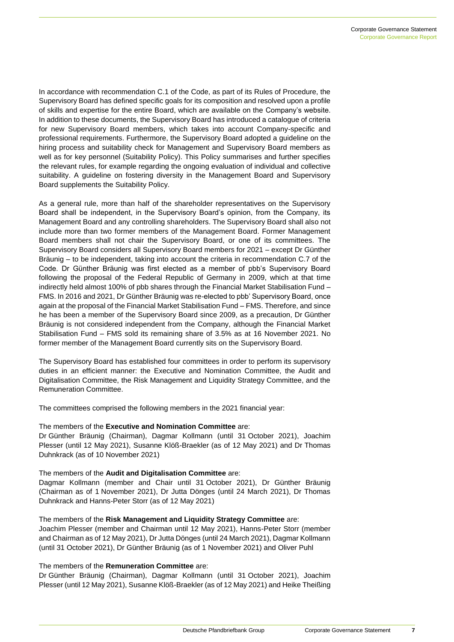In accordance with recommendation C.1 of the Code, as part of its Rules of Procedure, the Supervisory Board has defined specific goals for its composition and resolved upon a profile of skills and expertise for the entire Board, which are available on the Company's website. In addition to these documents, the Supervisory Board has introduced a catalogue of criteria for new Supervisory Board members, which takes into account Company-specific and professional requirements. Furthermore, the Supervisory Board adopted a guideline on the hiring process and suitability check for Management and Supervisory Board members as well as for key personnel (Suitability Policy). This Policy summarises and further specifies the relevant rules, for example regarding the ongoing evaluation of individual and collective suitability. A guideline on fostering diversity in the Management Board and Supervisory Board supplements the Suitability Policy.

As a general rule, more than half of the shareholder representatives on the Supervisory Board shall be independent, in the Supervisory Board's opinion, from the Company, its Management Board and any controlling shareholders. The Supervisory Board shall also not include more than two former members of the Management Board. Former Management Board members shall not chair the Supervisory Board, or one of its committees. The Supervisory Board considers all Supervisory Board members for 2021 – except Dr Günther Bräunig – to be independent, taking into account the criteria in recommendation C.7 of the Code. Dr Günther Bräunig was first elected as a member of pbb's Supervisory Board following the proposal of the Federal Republic of Germany in 2009, which at that time indirectly held almost 100% of pbb shares through the Financial Market Stabilisation Fund – FMS. In 2016 and 2021, Dr Günther Bräunig was re-elected to pbb' Supervisory Board, once again at the proposal of the Financial Market Stabilisation Fund – FMS. Therefore, and since he has been a member of the Supervisory Board since 2009, as a precaution, Dr Günther Bräunig is not considered independent from the Company, although the Financial Market Stabilisation Fund – FMS sold its remaining share of 3.5% as at 16 November 2021. No former member of the Management Board currently sits on the Supervisory Board.

The Supervisory Board has established four committees in order to perform its supervisory duties in an efficient manner: the Executive and Nomination Committee, the Audit and Digitalisation Committee, the Risk Management and Liquidity Strategy Committee, and the Remuneration Committee.

The committees comprised the following members in the 2021 financial year:

# The members of the **Executive and Nomination Committee** are:

Dr Günther Bräunig (Chairman), Dagmar Kollmann (until 31 October 2021), Joachim Plesser (until 12 May 2021), Susanne Klöß-Braekler (as of 12 May 2021) and Dr Thomas Duhnkrack (as of 10 November 2021)

# The members of the **Audit and Digitalisation Committee** are:

Dagmar Kollmann (member and Chair until 31 October 2021), Dr Günther Bräunig (Chairman as of 1 November 2021), Dr Jutta Dönges (until 24 March 2021), Dr Thomas Duhnkrack and Hanns-Peter Storr (as of 12 May 2021)

The members of the **Risk Management and Liquidity Strategy Committee** are: Joachim Plesser (member and Chairman until 12 May 2021), Hanns-Peter Storr (member and Chairman as of 12 May 2021), Dr Jutta Dönges (until 24 March 2021), Dagmar Kollmann (until 31 October 2021), Dr Günther Bräunig (as of 1 November 2021) and Oliver Puhl

# The members of the **Remuneration Committee** are:

Dr Günther Bräunig (Chairman), Dagmar Kollmann (until 31 October 2021), Joachim Plesser (until 12 May 2021), Susanne Klöß-Braekler (as of 12 May 2021) and Heike Theißing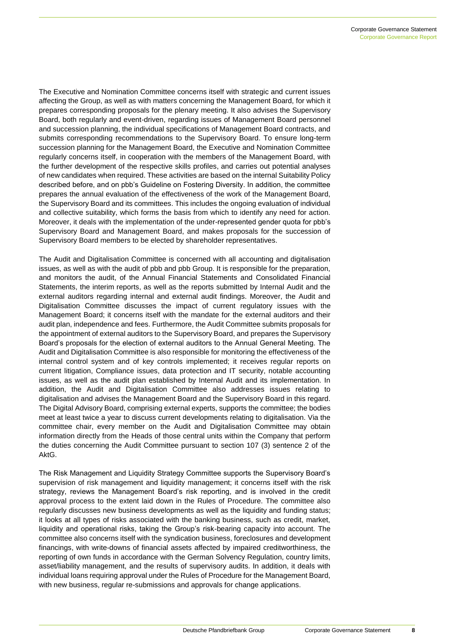The Executive and Nomination Committee concerns itself with strategic and current issues affecting the Group, as well as with matters concerning the Management Board, for which it prepares corresponding proposals for the plenary meeting. It also advises the Supervisory Board, both regularly and event-driven, regarding issues of Management Board personnel and succession planning, the individual specifications of Management Board contracts, and submits corresponding recommendations to the Supervisory Board. To ensure long-term succession planning for the Management Board, the Executive and Nomination Committee regularly concerns itself, in cooperation with the members of the Management Board, with the further development of the respective skills profiles, and carries out potential analyses of new candidates when required. These activities are based on the internal Suitability Policy described before, and on pbb's Guideline on Fostering Diversity. In addition, the committee prepares the annual evaluation of the effectiveness of the work of the Management Board, the Supervisory Board and its committees. This includes the ongoing evaluation of individual and collective suitability, which forms the basis from which to identify any need for action. Moreover, it deals with the implementation of the under-represented gender quota for pbb's Supervisory Board and Management Board, and makes proposals for the succession of Supervisory Board members to be elected by shareholder representatives.

The Audit and Digitalisation Committee is concerned with all accounting and digitalisation issues, as well as with the audit of pbb and pbb Group. It is responsible for the preparation, and monitors the audit, of the Annual Financial Statements and Consolidated Financial Statements, the interim reports, as well as the reports submitted by Internal Audit and the external auditors regarding internal and external audit findings. Moreover, the Audit and Digitalisation Committee discusses the impact of current regulatory issues with the Management Board; it concerns itself with the mandate for the external auditors and their audit plan, independence and fees. Furthermore, the Audit Committee submits proposals for the appointment of external auditors to the Supervisory Board, and prepares the Supervisory Board's proposals for the election of external auditors to the Annual General Meeting. The Audit and Digitalisation Committee is also responsible for monitoring the effectiveness of the internal control system and of key controls implemented; it receives regular reports on current litigation, Compliance issues, data protection and IT security, notable accounting issues, as well as the audit plan established by Internal Audit and its implementation. In addition, the Audit and Digitalisation Committee also addresses issues relating to digitalisation and advises the Management Board and the Supervisory Board in this regard. The Digital Advisory Board, comprising external experts, supports the committee; the bodies meet at least twice a year to discuss current developments relating to digitalisation. Via the committee chair, every member on the Audit and Digitalisation Committee may obtain information directly from the Heads of those central units within the Company that perform the duties concerning the Audit Committee pursuant to section 107 (3) sentence 2 of the AktG.

The Risk Management and Liquidity Strategy Committee supports the Supervisory Board's supervision of risk management and liquidity management; it concerns itself with the risk strategy, reviews the Management Board's risk reporting, and is involved in the credit approval process to the extent laid down in the Rules of Procedure. The committee also regularly discusses new business developments as well as the liquidity and funding status; it looks at all types of risks associated with the banking business, such as credit, market, liquidity and operational risks, taking the Group's risk-bearing capacity into account. The committee also concerns itself with the syndication business, foreclosures and development financings, with write-downs of financial assets affected by impaired creditworthiness, the reporting of own funds in accordance with the German Solvency Regulation, country limits, asset/liability management, and the results of supervisory audits. In addition, it deals with individual loans requiring approval under the Rules of Procedure for the Management Board, with new business, regular re-submissions and approvals for change applications.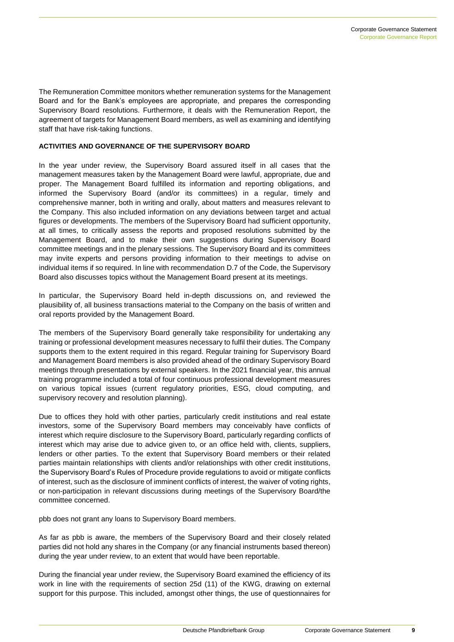The Remuneration Committee monitors whether remuneration systems for the Management Board and for the Bank's employees are appropriate, and prepares the corresponding Supervisory Board resolutions. Furthermore, it deals with the Remuneration Report, the agreement of targets for Management Board members, as well as examining and identifying staff that have risk-taking functions.

# **ACTIVITIES AND GOVERNANCE OF THE SUPERVISORY BOARD**

In the year under review, the Supervisory Board assured itself in all cases that the management measures taken by the Management Board were lawful, appropriate, due and proper. The Management Board fulfilled its information and reporting obligations, and informed the Supervisory Board (and/or its committees) in a regular, timely and comprehensive manner, both in writing and orally, about matters and measures relevant to the Company. This also included information on any deviations between target and actual figures or developments. The members of the Supervisory Board had sufficient opportunity, at all times, to critically assess the reports and proposed resolutions submitted by the Management Board, and to make their own suggestions during Supervisory Board committee meetings and in the plenary sessions. The Supervisory Board and its committees may invite experts and persons providing information to their meetings to advise on individual items if so required. In line with recommendation D.7 of the Code, the Supervisory Board also discusses topics without the Management Board present at its meetings.

In particular, the Supervisory Board held in-depth discussions on, and reviewed the plausibility of, all business transactions material to the Company on the basis of written and oral reports provided by the Management Board.

The members of the Supervisory Board generally take responsibility for undertaking any training or professional development measures necessary to fulfil their duties. The Company supports them to the extent required in this regard. Regular training for Supervisory Board and Management Board members is also provided ahead of the ordinary Supervisory Board meetings through presentations by external speakers. In the 2021 financial year, this annual training programme included a total of four continuous professional development measures on various topical issues (current regulatory priorities, ESG, cloud computing, and supervisory recovery and resolution planning).

Due to offices they hold with other parties, particularly credit institutions and real estate investors, some of the Supervisory Board members may conceivably have conflicts of interest which require disclosure to the Supervisory Board, particularly regarding conflicts of interest which may arise due to advice given to, or an office held with, clients, suppliers, lenders or other parties. To the extent that Supervisory Board members or their related parties maintain relationships with clients and/or relationships with other credit institutions, the Supervisory Board's Rules of Procedure provide regulations to avoid or mitigate conflicts of interest, such as the disclosure of imminent conflicts of interest, the waiver of voting rights, or non-participation in relevant discussions during meetings of the Supervisory Board/the committee concerned.

pbb does not grant any loans to Supervisory Board members.

As far as pbb is aware, the members of the Supervisory Board and their closely related parties did not hold any shares in the Company (or any financial instruments based thereon) during the year under review, to an extent that would have been reportable.

During the financial year under review, the Supervisory Board examined the efficiency of its work in line with the requirements of section 25d (11) of the KWG, drawing on external support for this purpose. This included, amongst other things, the use of questionnaires for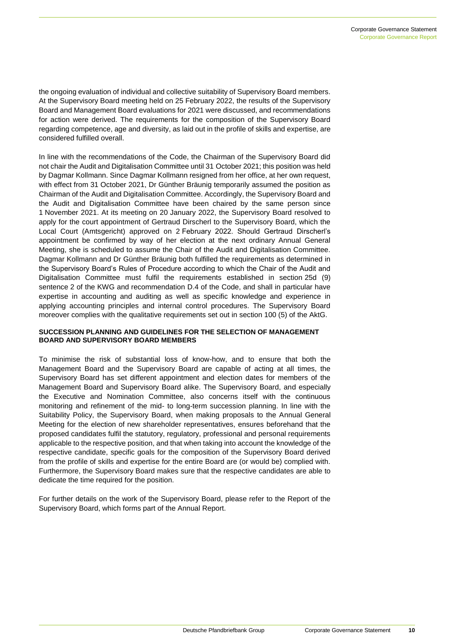the ongoing evaluation of individual and collective suitability of Supervisory Board members. At the Supervisory Board meeting held on 25 February 2022, the results of the Supervisory Board and Management Board evaluations for 2021 were discussed, and recommendations for action were derived. The requirements for the composition of the Supervisory Board regarding competence, age and diversity, as laid out in the profile of skills and expertise, are considered fulfilled overall.

In line with the recommendations of the Code, the Chairman of the Supervisory Board did not chair the Audit and Digitalisation Committee until 31 October 2021; this position was held by Dagmar Kollmann. Since Dagmar Kollmann resigned from her office, at her own request, with effect from 31 October 2021, Dr Günther Bräunig temporarily assumed the position as Chairman of the Audit and Digitalisation Committee. Accordingly, the Supervisory Board and the Audit and Digitalisation Committee have been chaired by the same person since 1 November 2021. At its meeting on 20 January 2022, the Supervisory Board resolved to apply for the court appointment of Gertraud Dirscherl to the Supervisory Board, which the Local Court (Amtsgericht) approved on 2 February 2022. Should Gertraud Dirscherl's appointment be confirmed by way of her election at the next ordinary Annual General Meeting, she is scheduled to assume the Chair of the Audit and Digitalisation Committee. Dagmar Kollmann and Dr Günther Bräunig both fulfilled the requirements as determined in the Supervisory Board's Rules of Procedure according to which the Chair of the Audit and Digitalisation Committee must fulfil the requirements established in section 25d (9) sentence 2 of the KWG and recommendation D.4 of the Code, and shall in particular have expertise in accounting and auditing as well as specific knowledge and experience in applying accounting principles and internal control procedures. The Supervisory Board moreover complies with the qualitative requirements set out in section 100 (5) of the AktG.

### **SUCCESSION PLANNING AND GUIDELINES FOR THE SELECTION OF MANAGEMENT BOARD AND SUPERVISORY BOARD MEMBERS**

To minimise the risk of substantial loss of know-how, and to ensure that both the Management Board and the Supervisory Board are capable of acting at all times, the Supervisory Board has set different appointment and election dates for members of the Management Board and Supervisory Board alike. The Supervisory Board, and especially the Executive and Nomination Committee, also concerns itself with the continuous monitoring and refinement of the mid- to long-term succession planning. In line with the Suitability Policy, the Supervisory Board, when making proposals to the Annual General Meeting for the election of new shareholder representatives, ensures beforehand that the proposed candidates fulfil the statutory, regulatory, professional and personal requirements applicable to the respective position, and that when taking into account the knowledge of the respective candidate, specific goals for the composition of the Supervisory Board derived from the profile of skills and expertise for the entire Board are (or would be) complied with. Furthermore, the Supervisory Board makes sure that the respective candidates are able to dedicate the time required for the position.

For further details on the work of the Supervisory Board, please refer to the Report of the Supervisory Board, which forms part of the Annual Report.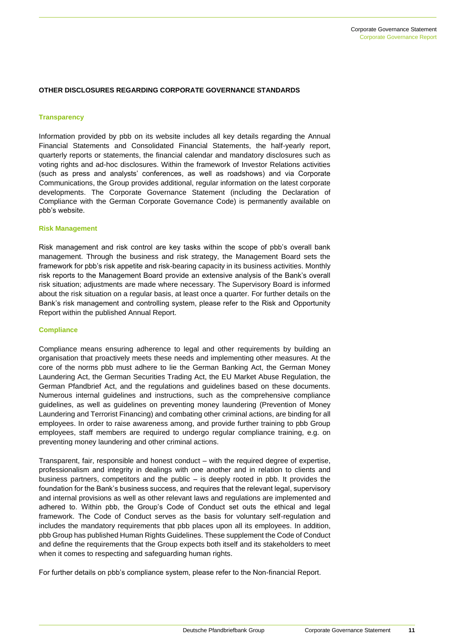# **OTHER DISCLOSURES REGARDING CORPORATE GOVERNANCE STANDARDS**

#### **Transparency**

Information provided by pbb on its website includes all key details regarding the Annual Financial Statements and Consolidated Financial Statements, the half-yearly report, quarterly reports or statements, the financial calendar and mandatory disclosures such as voting rights and ad-hoc disclosures. Within the framework of Investor Relations activities (such as press and analysts' conferences, as well as roadshows) and via Corporate Communications, the Group provides additional, regular information on the latest corporate developments. The Corporate Governance Statement (including the Declaration of Compliance with the German Corporate Governance Code) is permanently available on pbb's website.

#### **Risk Management**

Risk management and risk control are key tasks within the scope of pbb's overall bank management. Through the business and risk strategy, the Management Board sets the framework for pbb's risk appetite and risk-bearing capacity in its business activities. Monthly risk reports to the Management Board provide an extensive analysis of the Bank's overall risk situation; adjustments are made where necessary. The Supervisory Board is informed about the risk situation on a regular basis, at least once a quarter. For further details on the Bank's risk management and controlling system, please refer to the Risk and Opportunity Report within the published Annual Report.

#### **Compliance**

Compliance means ensuring adherence to legal and other requirements by building an organisation that proactively meets these needs and implementing other measures. At the core of the norms pbb must adhere to lie the German Banking Act, the German Money Laundering Act, the German Securities Trading Act, the EU Market Abuse Regulation, the German Pfandbrief Act, and the regulations and guidelines based on these documents. Numerous internal guidelines and instructions, such as the comprehensive compliance guidelines, as well as guidelines on preventing money laundering (Prevention of Money Laundering and Terrorist Financing) and combating other criminal actions, are binding for all employees. In order to raise awareness among, and provide further training to pbb Group employees, staff members are required to undergo regular compliance training, e.g. on preventing money laundering and other criminal actions.

Transparent, fair, responsible and honest conduct – with the required degree of expertise, professionalism and integrity in dealings with one another and in relation to clients and business partners, competitors and the public – is deeply rooted in pbb. It provides the foundation for the Bank's business success, and requires that the relevant legal, supervisory and internal provisions as well as other relevant laws and regulations are implemented and adhered to. Within pbb, the Group's Code of Conduct set outs the ethical and legal framework. The Code of Conduct serves as the basis for voluntary self-regulation and includes the mandatory requirements that pbb places upon all its employees. In addition, pbb Group has published Human Rights Guidelines. These supplement the Code of Conduct and define the requirements that the Group expects both itself and its stakeholders to meet when it comes to respecting and safeguarding human rights.

For further details on pbb's compliance system, please refer to the Non-financial Report.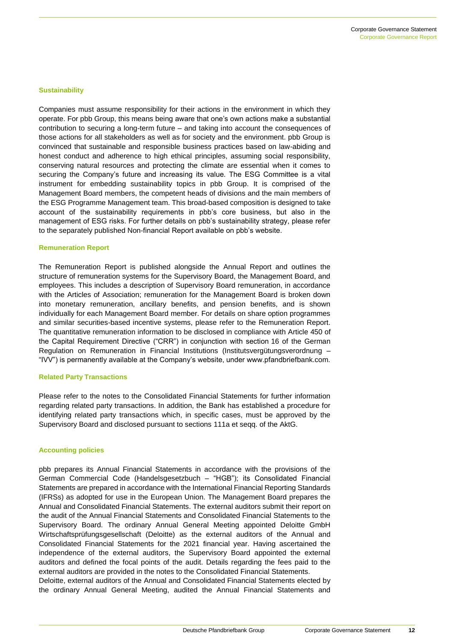#### **Sustainability**

Companies must assume responsibility for their actions in the environment in which they operate. For pbb Group, this means being aware that one's own actions make a substantial contribution to securing a long-term future – and taking into account the consequences of those actions for all stakeholders as well as for society and the environment. pbb Group is convinced that sustainable and responsible business practices based on law-abiding and honest conduct and adherence to high ethical principles, assuming social responsibility, conserving natural resources and protecting the climate are essential when it comes to securing the Company's future and increasing its value. The ESG Committee is a vital instrument for embedding sustainability topics in pbb Group. It is comprised of the Management Board members, the competent heads of divisions and the main members of the ESG Programme Management team. This broad-based composition is designed to take account of the sustainability requirements in pbb's core business, but also in the management of ESG risks. For further details on pbb's sustainability strategy, please refer to the separately published Non-financial Report available on pbb's website.

#### **Remuneration Report**

The Remuneration Report is published alongside the Annual Report and outlines the structure of remuneration systems for the Supervisory Board, the Management Board, and employees. This includes a description of Supervisory Board remuneration, in accordance with the Articles of Association; remuneration for the Management Board is broken down into monetary remuneration, ancillary benefits, and pension benefits, and is shown individually for each Management Board member. For details on share option programmes and similar securities-based incentive systems, please refer to the Remuneration Report. The quantitative remuneration information to be disclosed in compliance with Article 450 of the Capital Requirement Directive ("CRR") in conjunction with section 16 of the German Regulation on Remuneration in Financial Institutions (Institutsvergütungsverordnung – "IVV") is permanently available at the Company's website, under www.pfandbriefbank.com.

#### **Related Party Transactions**

Please refer to the notes to the Consolidated Financial Statements for further information regarding related party transactions. In addition, the Bank has established a procedure for identifying related party transactions which, in specific cases, must be approved by the Supervisory Board and disclosed pursuant to sections 111a et seqq. of the AktG.

#### **Accounting policies**

pbb prepares its Annual Financial Statements in accordance with the provisions of the German Commercial Code (Handelsgesetzbuch – "HGB"); its Consolidated Financial Statements are prepared in accordance with the International Financial Reporting Standards (IFRSs) as adopted for use in the European Union. The Management Board prepares the Annual and Consolidated Financial Statements. The external auditors submit their report on the audit of the Annual Financial Statements and Consolidated Financial Statements to the Supervisory Board. The ordinary Annual General Meeting appointed Deloitte GmbH Wirtschaftsprüfungsgesellschaft (Deloitte) as the external auditors of the Annual and Consolidated Financial Statements for the 2021 financial year. Having ascertained the independence of the external auditors, the Supervisory Board appointed the external auditors and defined the focal points of the audit. Details regarding the fees paid to the external auditors are provided in the notes to the Consolidated Financial Statements.

Deloitte, external auditors of the Annual and Consolidated Financial Statements elected by the ordinary Annual General Meeting, audited the Annual Financial Statements and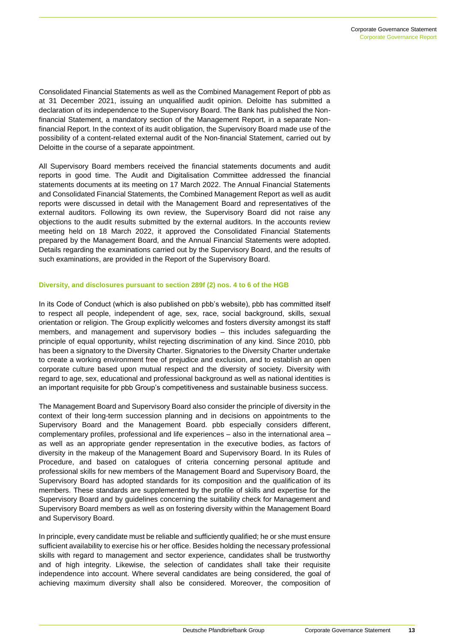Consolidated Financial Statements as well as the Combined Management Report of pbb as at 31 December 2021, issuing an unqualified audit opinion. Deloitte has submitted a declaration of its independence to the Supervisory Board. The Bank has published the Nonfinancial Statement, a mandatory section of the Management Report, in a separate Nonfinancial Report. In the context of its audit obligation, the Supervisory Board made use of the possibility of a content-related external audit of the Non-financial Statement, carried out by Deloitte in the course of a separate appointment.

All Supervisory Board members received the financial statements documents and audit reports in good time. The Audit and Digitalisation Committee addressed the financial statements documents at its meeting on 17 March 2022. The Annual Financial Statements and Consolidated Financial Statements, the Combined Management Report as well as audit reports were discussed in detail with the Management Board and representatives of the external auditors. Following its own review, the Supervisory Board did not raise any objections to the audit results submitted by the external auditors. In the accounts review meeting held on 18 March 2022, it approved the Consolidated Financial Statements prepared by the Management Board, and the Annual Financial Statements were adopted. Details regarding the examinations carried out by the Supervisory Board, and the results of such examinations, are provided in the Report of the Supervisory Board.

#### **Diversity, and disclosures pursuant to section 289f (2) nos. 4 to 6 of the HGB**

In its Code of Conduct (which is also published on pbb's website), pbb has committed itself to respect all people, independent of age, sex, race, social background, skills, sexual orientation or religion. The Group explicitly welcomes and fosters diversity amongst its staff members, and management and supervisory bodies – this includes safeguarding the principle of equal opportunity, whilst rejecting discrimination of any kind. Since 2010, pbb has been a signatory to the Diversity Charter. Signatories to the Diversity Charter undertake to create a working environment free of prejudice and exclusion, and to establish an open corporate culture based upon mutual respect and the diversity of society. Diversity with regard to age, sex, educational and professional background as well as national identities is an important requisite for pbb Group's competitiveness and sustainable business success.

The Management Board and Supervisory Board also consider the principle of diversity in the context of their long-term succession planning and in decisions on appointments to the Supervisory Board and the Management Board. pbb especially considers different, complementary profiles, professional and life experiences – also in the international area – as well as an appropriate gender representation in the executive bodies, as factors of diversity in the makeup of the Management Board and Supervisory Board. In its Rules of Procedure, and based on catalogues of criteria concerning personal aptitude and professional skills for new members of the Management Board and Supervisory Board, the Supervisory Board has adopted standards for its composition and the qualification of its members. These standards are supplemented by the profile of skills and expertise for the Supervisory Board and by guidelines concerning the suitability check for Management and Supervisory Board members as well as on fostering diversity within the Management Board and Supervisory Board.

In principle, every candidate must be reliable and sufficiently qualified; he or she must ensure sufficient availability to exercise his or her office. Besides holding the necessary professional skills with regard to management and sector experience, candidates shall be trustworthy and of high integrity. Likewise, the selection of candidates shall take their requisite independence into account. Where several candidates are being considered, the goal of achieving maximum diversity shall also be considered. Moreover, the composition of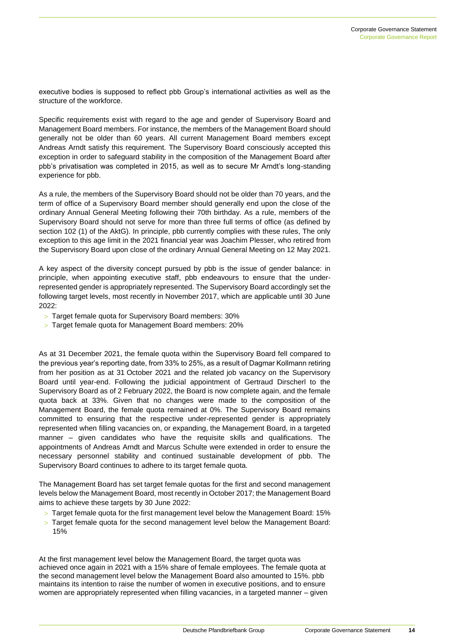executive bodies is supposed to reflect pbb Group's international activities as well as the structure of the workforce.

Specific requirements exist with regard to the age and gender of Supervisory Board and Management Board members. For instance, the members of the Management Board should generally not be older than 60 years. All current Management Board members except Andreas Arndt satisfy this requirement. The Supervisory Board consciously accepted this exception in order to safeguard stability in the composition of the Management Board after pbb's privatisation was completed in 2015, as well as to secure Mr Arndt's long-standing experience for pbb.

As a rule, the members of the Supervisory Board should not be older than 70 years, and the term of office of a Supervisory Board member should generally end upon the close of the ordinary Annual General Meeting following their 70th birthday. As a rule, members of the Supervisory Board should not serve for more than three full terms of office (as defined by section 102 (1) of the AktG). In principle, pbb currently complies with these rules, The only exception to this age limit in the 2021 financial year was Joachim Plesser, who retired from the Supervisory Board upon close of the ordinary Annual General Meeting on 12 May 2021.

A key aspect of the diversity concept pursued by pbb is the issue of gender balance: in principle, when appointing executive staff, pbb endeavours to ensure that the underrepresented gender is appropriately represented. The Supervisory Board accordingly set the following target levels, most recently in November 2017, which are applicable until 30 June 2022:

- > Target female quota for Supervisory Board members: 30%
- Target female quota for Management Board members: 20%

As at 31 December 2021, the female quota within the Supervisory Board fell compared to the previous year's reporting date, from 33% to 25%, as a result of Dagmar Kollmann retiring from her position as at 31 October 2021 and the related job vacancy on the Supervisory Board until year-end. Following the judicial appointment of Gertraud Dirscherl to the Supervisory Board as of 2 February 2022, the Board is now complete again, and the female quota back at 33%. Given that no changes were made to the composition of the Management Board, the female quota remained at 0%. The Supervisory Board remains committed to ensuring that the respective under-represented gender is appropriately represented when filling vacancies on, or expanding, the Management Board, in a targeted manner – given candidates who have the requisite skills and qualifications. The appointments of Andreas Arndt and Marcus Schulte were extended in order to ensure the necessary personnel stability and continued sustainable development of pbb. The Supervisory Board continues to adhere to its target female quota.

The Management Board has set target female quotas for the first and second management levels below the Management Board, most recently in October 2017; the Management Board aims to achieve these targets by 30 June 2022:

- Target female quota for the first management level below the Management Board: 15%
- $>$  Target female quota for the second management level below the Management Board: 15%

At the first management level below the Management Board, the target quota was achieved once again in 2021 with a 15% share of female employees. The female quota at the second management level below the Management Board also amounted to 15%. pbb maintains its intention to raise the number of women in executive positions, and to ensure women are appropriately represented when filling vacancies, in a targeted manner – given